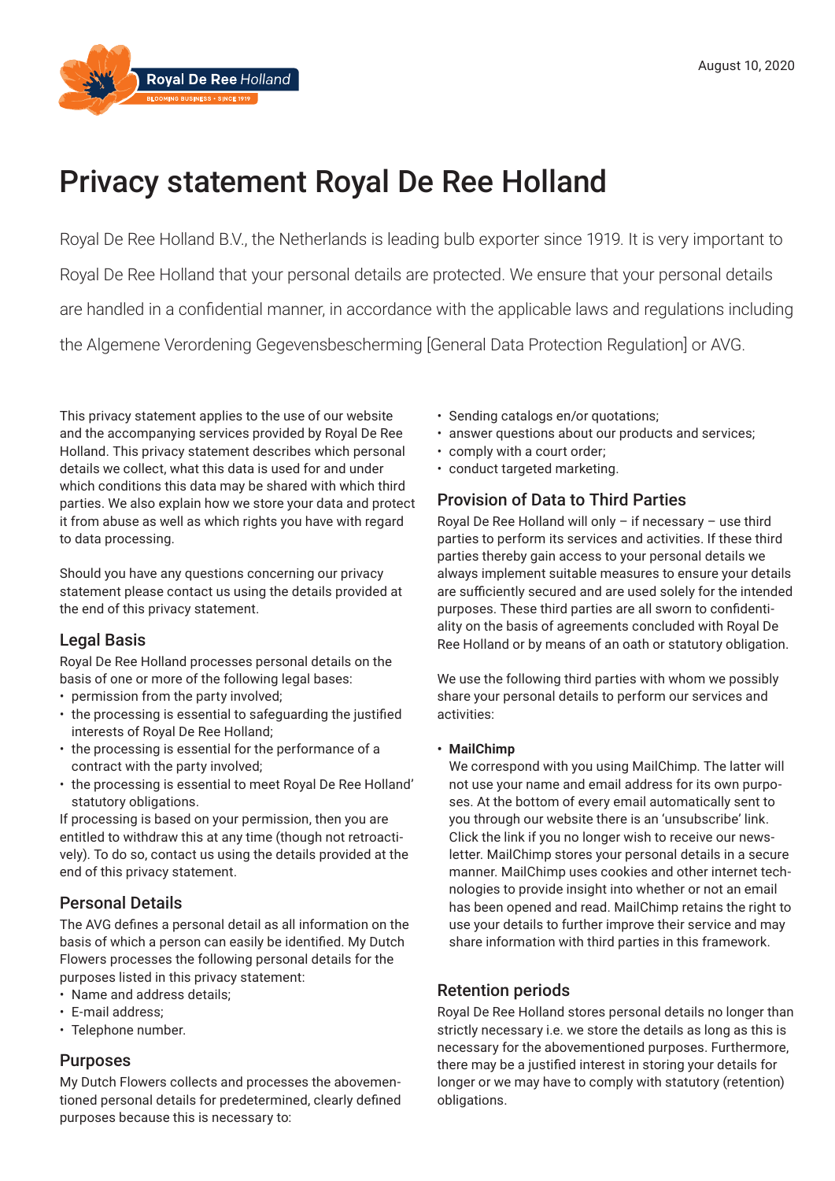

# Privacy statement Royal De Ree Holland

Royal De Ree Holland B.V., the Netherlands is leading bulb exporter since 1919. It is very important to Royal De Ree Holland that your personal details are protected. We ensure that your personal details are handled in a confidential manner, in accordance with the applicable laws and regulations including the Algemene Verordening Gegevensbescherming [General Data Protection Regulation] or AVG.

This privacy statement applies to the use of our website and the accompanying services provided by Royal De Ree Holland. This privacy statement describes which personal details we collect, what this data is used for and under which conditions this data may be shared with which third parties. We also explain how we store your data and protect it from abuse as well as which rights you have with regard to data processing.

Should you have any questions concerning our privacy statement please contact us using the details provided at the end of this privacy statement.

# Legal Basis

Royal De Ree Holland processes personal details on the basis of one or more of the following legal bases:

- permission from the party involved;
- the processing is essential to safeguarding the justified interests of Royal De Ree Holland;
- the processing is essential for the performance of a contract with the party involved;
- the processing is essential to meet Royal De Ree Holland' statutory obligations.

If processing is based on your permission, then you are entitled to withdraw this at any time (though not retroactively). To do so, contact us using the details provided at the end of this privacy statement.

# Personal Details

The AVG defines a personal detail as all information on the basis of which a person can easily be identified. My Dutch Flowers processes the following personal details for the purposes listed in this privacy statement:

- Name and address details;
- E-mail address;
- Telephone number.

# Purposes

My Dutch Flowers collects and processes the abovementioned personal details for predetermined, clearly defined purposes because this is necessary to:

- Sending catalogs en/or quotations;
- answer questions about our products and services;
- comply with a court order;
- conduct targeted marketing.

# Provision of Data to Third Parties

Royal De Ree Holland will only – if necessary – use third parties to perform its services and activities. If these third parties thereby gain access to your personal details we always implement suitable measures to ensure your details are sufficiently secured and are used solely for the intended purposes. These third parties are all sworn to confidentiality on the basis of agreements concluded with Royal De Ree Holland or by means of an oath or statutory obligation.

We use the following third parties with whom we possibly share your personal details to perform our services and activities:

## **• MailChimp**

We correspond with you using MailChimp. The latter will not use your name and email address for its own purposes. At the bottom of every email automatically sent to you through our website there is an 'unsubscribe' link. Click the link if you no longer wish to receive our newsletter. MailChimp stores your personal details in a secure manner. MailChimp uses cookies and other internet technologies to provide insight into whether or not an email has been opened and read. MailChimp retains the right to use your details to further improve their service and may share information with third parties in this framework.

# Retention periods

Royal De Ree Holland stores personal details no longer than strictly necessary i.e. we store the details as long as this is necessary for the abovementioned purposes. Furthermore, there may be a justified interest in storing your details for longer or we may have to comply with statutory (retention) obligations.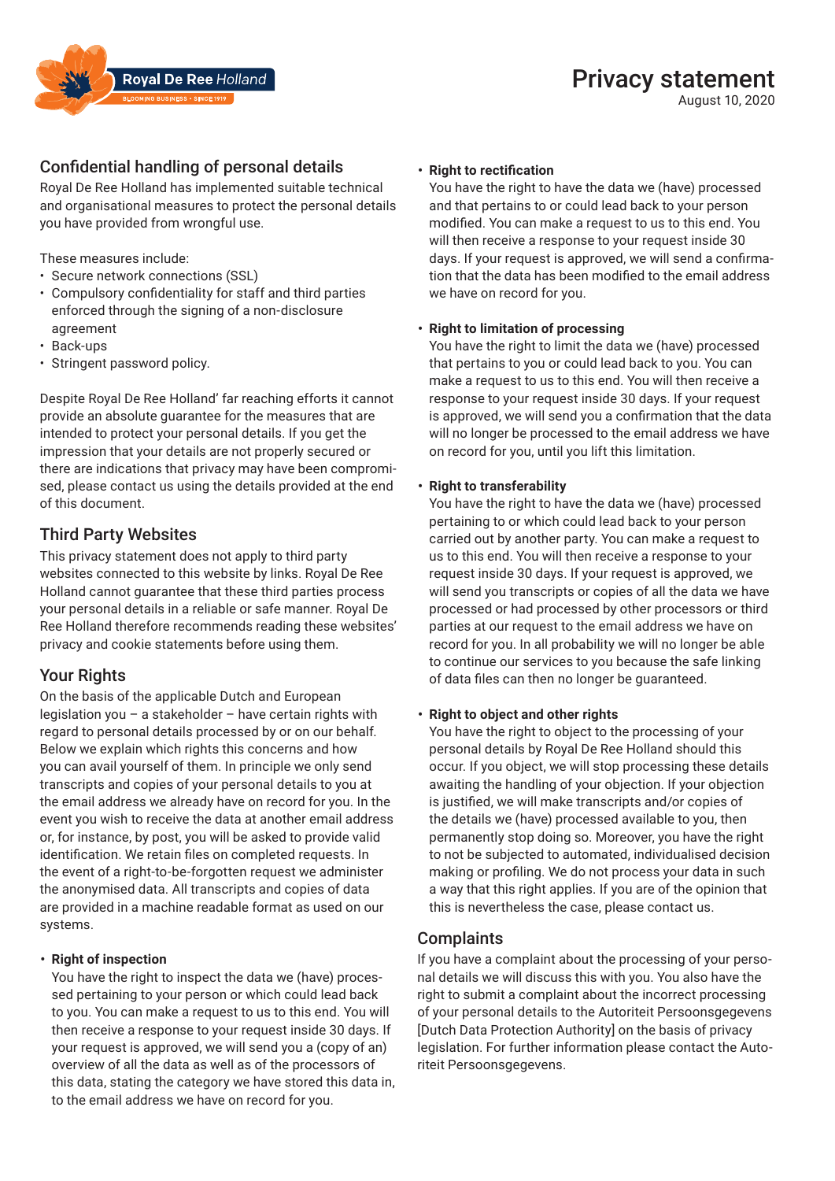

August 10, 2020



# Confidential handling of personal details

Royal De Ree Holland has implemented suitable technical and organisational measures to protect the personal details you have provided from wrongful use.

These measures include:

- Secure network connections (SSL)
- • Compulsory confidentiality for staff and third parties enforced through the signing of a non-disclosure agreement
- Back-ups
- Stringent password policy.

Despite Royal De Ree Holland' far reaching efforts it cannot provide an absolute guarantee for the measures that are intended to protect your personal details. If you get the impression that your details are not properly secured or there are indications that privacy may have been compromised, please contact us using the details provided at the end of this document.

# Third Party Websites

This privacy statement does not apply to third party websites connected to this website by links. Royal De Ree Holland cannot guarantee that these third parties process your personal details in a reliable or safe manner. Royal De Ree Holland therefore recommends reading these websites' privacy and cookie statements before using them.

# Your Rights

On the basis of the applicable Dutch and European legislation you – a stakeholder – have certain rights with regard to personal details processed by or on our behalf. Below we explain which rights this concerns and how you can avail yourself of them. In principle we only send transcripts and copies of your personal details to you at the email address we already have on record for you. In the event you wish to receive the data at another email address or, for instance, by post, you will be asked to provide valid identification. We retain files on completed requests. In the event of a right-to-be-forgotten request we administer the anonymised data. All transcripts and copies of data are provided in a machine readable format as used on our systems.

#### **• Right of inspection**

You have the right to inspect the data we (have) processed pertaining to your person or which could lead back to you. You can make a request to us to this end. You will then receive a response to your request inside 30 days. If your request is approved, we will send you a (copy of an) overview of all the data as well as of the processors of this data, stating the category we have stored this data in, to the email address we have on record for you.

#### **Right to rectification**

You have the right to have the data we (have) processed and that pertains to or could lead back to your person modified. You can make a request to us to this end. You will then receive a response to your request inside 30 days. If your request is approved, we will send a confirmation that the data has been modified to the email address we have on record for you.

#### **• Right to limitation of processing**

You have the right to limit the data we (have) processed that pertains to you or could lead back to you. You can make a request to us to this end. You will then receive a response to your request inside 30 days. If your request is approved, we will send you a confirmation that the data will no longer be processed to the email address we have on record for you, until you lift this limitation.

#### **• Right to transferability**

You have the right to have the data we (have) processed pertaining to or which could lead back to your person carried out by another party. You can make a request to us to this end. You will then receive a response to your request inside 30 days. If your request is approved, we will send you transcripts or copies of all the data we have processed or had processed by other processors or third parties at our request to the email address we have on record for you. In all probability we will no longer be able to continue our services to you because the safe linking of data files can then no longer be guaranteed.

#### **• Right to object and other rights**

You have the right to object to the processing of your personal details by Royal De Ree Holland should this occur. If you object, we will stop processing these details awaiting the handling of your objection. If your objection is justified, we will make transcripts and/or copies of the details we (have) processed available to you, then permanently stop doing so. Moreover, you have the right to not be subjected to automated, individualised decision making or profiling. We do not process your data in such a way that this right applies. If you are of the opinion that this is nevertheless the case, please contact us.

## Complaints

If you have a complaint about the processing of your personal details we will discuss this with you. You also have the right to submit a complaint about the incorrect processing of your personal details to the Autoriteit Persoonsgegevens [Dutch Data Protection Authority] on the basis of privacy legislation. For further information please contact the Autoriteit Persoonsgegevens.